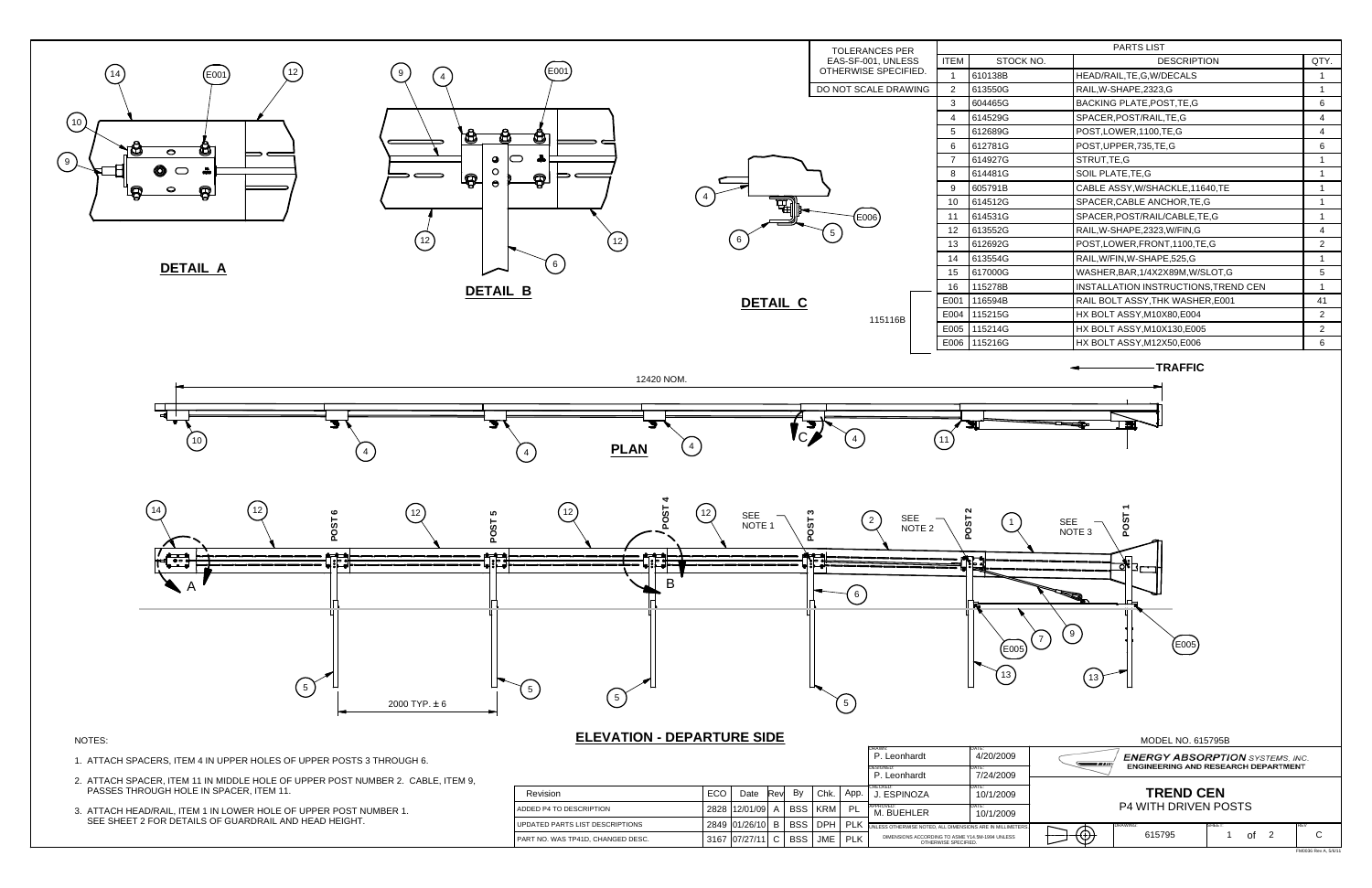## MODEL NO. 615795B

FM0036 Rev A, 5/6/11



|                                            |     |                 |            |            |            |            | DRAWN:<br>P. Leonhardt<br><b>DESIGNED:</b>                              | DATF<br>4/20/2009 | <b>ENERGY ABSORPTION</b> SYSTEMS. INC.<br>---<br><b>ENGINEERING AND RESEARCH DEPARTMENT</b> |                |        |  |  |
|--------------------------------------------|-----|-----------------|------------|------------|------------|------------|-------------------------------------------------------------------------|-------------------|---------------------------------------------------------------------------------------------|----------------|--------|--|--|
|                                            |     |                 |            |            |            |            | P. Leonhardt                                                            | 7/24/2009         |                                                                                             |                |        |  |  |
| Revision                                   | ECO | Date            | <b>Rev</b> | By         | Chk.       | App.       | CHECKED:<br>. ESPINOZA                                                  | 10/1/2009         | <b>TREND CEN</b>                                                                            |                |        |  |  |
| <b>LADDED P4 TO DESCRIPTION</b>            |     | 2828 12/01/09 A |            | BSS I KRM  |            | <b>PL</b>  | APPROVED:<br>M. BUEHLER<br>10/1/2009                                    |                   | <b>P4 WITH DRIVEN POSTS</b>                                                                 |                |        |  |  |
| UPDATED PARTS LIST DESCRIPTIONS            |     | 2849 01/26/10 B |            | BSS I DPH  |            |            | .   PLK UNLESS OTHERWISE NOTED, ALL DIMENSIONS ARE IN MILLIMETERS.      |                   |                                                                                             | <b>DRAWING</b> | SHEET. |  |  |
| <b>I PART NO. WAS TP41D. CHANGED DESC.</b> |     | 3167 07/27/11   |            | <b>BSS</b> | <b>JME</b> | <b>PLK</b> | DIMENSIONS ACCORDING TO ASME Y14.5M-1994 UNLESS<br>OTHERWISE SPECIFIED. |                   | €Φ)                                                                                         | 615795         | οt     |  |  |

| <b>PARTS LIST</b> |                                      |      |  |  |  |  |  |
|-------------------|--------------------------------------|------|--|--|--|--|--|
| TOCK NO.          | <b>DESCRIPTION</b>                   | QTY. |  |  |  |  |  |
| B                 | HEAD/RAIL, TE, G, W/DECALS           | 1    |  |  |  |  |  |
| G                 | RAIL, W-SHAPE, 2323, G               | 1    |  |  |  |  |  |
| G                 | BACKING PLATE, POST, TE, G           | 6    |  |  |  |  |  |
| G                 | SPACER, POST/RAIL, TE, G             | 4    |  |  |  |  |  |
| G                 | POST,LOWER,1100,TE,G                 | 4    |  |  |  |  |  |
| G                 | POST, UPPER, 735, TE, G              | 6    |  |  |  |  |  |
| G                 | STRUT, TE, G                         | 1    |  |  |  |  |  |
| G                 | SOIL PLATE, TE, G                    | 1    |  |  |  |  |  |
| B                 | CABLE ASSY, W/SHACKLE, 11640, TE     | 1    |  |  |  |  |  |
| G                 | SPACER, CABLE ANCHOR, TE, G          | 1    |  |  |  |  |  |
| G                 | SPACER, POST/RAIL/CABLE, TE, G       | 1    |  |  |  |  |  |
| G                 | RAIL, W-SHAPE, 2323, W/FIN, G        | 4    |  |  |  |  |  |
| G                 | POST,LOWER,FRONT,1100,TE,G           | 2    |  |  |  |  |  |
| G                 | RAIL, W/FIN, W-SHAPE, 525, G         | 1    |  |  |  |  |  |
| G                 | WASHER, BAR, 1/4X2X89M, W/SLOT, G    | 5    |  |  |  |  |  |
| B                 | INSTALLATION INSTRUCTIONS, TREND CEN | 1    |  |  |  |  |  |
| $\overline{B}$    | RAIL BOLT ASSY, THK WASHER, E001     | 41   |  |  |  |  |  |
| G                 | HX BOLT ASSY, M10X80, E004           | 2    |  |  |  |  |  |
| G                 | HX BOLT ASSY, M10X130, E005          | 2    |  |  |  |  |  |
| G                 | HX BOLT ASSY, M12X50, E006           | 6    |  |  |  |  |  |
|                   |                                      |      |  |  |  |  |  |

**TRAFFIC**

- 2. ATTACH SPACER, ITEM 11 IN MIDDLE HOLE OF UPPER POST NUMBER 2. CABLE, ITEM 9, PASSES THROUGH HOLE IN SPACER, ITEM 11.
- 3. ATTACH HEAD/RAIL, ITEM 1 IN LOWER HOLE OF UPPER POST NUMBER 1. SEE SHEET 2 FOR DETAILS OF GUARDRAIL AND HEAD HEIGHT.